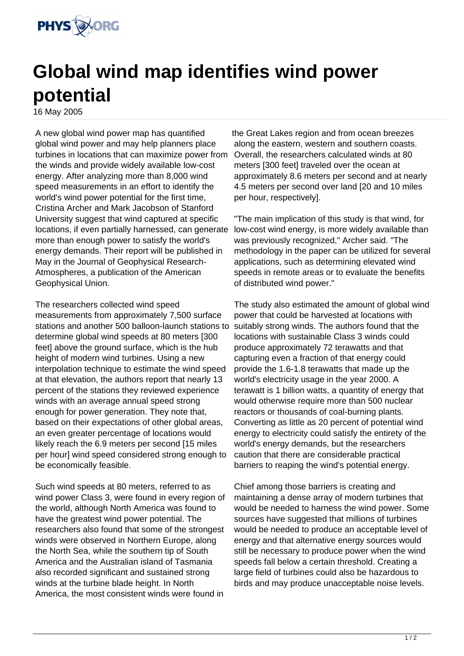

## **Global wind map identifies wind power potential**

16 May 2005

A new global wind power map has quantified global wind power and may help planners place turbines in locations that can maximize power from the winds and provide widely available low-cost energy. After analyzing more than 8,000 wind speed measurements in an effort to identify the world's wind power potential for the first time, Cristina Archer and Mark Jacobson of Stanford University suggest that wind captured at specific locations, if even partially harnessed, can generate more than enough power to satisfy the world's energy demands. Their report will be published in May in the Journal of Geophysical Research-Atmospheres, a publication of the American Geophysical Union.

The researchers collected wind speed measurements from approximately 7,500 surface stations and another 500 balloon-launch stations to determine global wind speeds at 80 meters [300 feet] above the ground surface, which is the hub height of modern wind turbines. Using a new interpolation technique to estimate the wind speed at that elevation, the authors report that nearly 13 percent of the stations they reviewed experience winds with an average annual speed strong enough for power generation. They note that, based on their expectations of other global areas, an even greater percentage of locations would likely reach the 6.9 meters per second [15 miles per hour] wind speed considered strong enough to be economically feasible.

Such wind speeds at 80 meters, referred to as wind power Class 3, were found in every region of the world, although North America was found to have the greatest wind power potential. The researchers also found that some of the strongest winds were observed in Northern Europe, along the North Sea, while the southern tip of South America and the Australian island of Tasmania also recorded significant and sustained strong winds at the turbine blade height. In North America, the most consistent winds were found in

the Great Lakes region and from ocean breezes along the eastern, western and southern coasts. Overall, the researchers calculated winds at 80 meters [300 feet] traveled over the ocean at approximately 8.6 meters per second and at nearly 4.5 meters per second over land [20 and 10 miles per hour, respectively].

"The main implication of this study is that wind, for low-cost wind energy, is more widely available than was previously recognized," Archer said. "The methodology in the paper can be utilized for several applications, such as determining elevated wind speeds in remote areas or to evaluate the benefits of distributed wind power."

The study also estimated the amount of global wind power that could be harvested at locations with suitably strong winds. The authors found that the locations with sustainable Class 3 winds could produce approximately 72 terawatts and that capturing even a fraction of that energy could provide the 1.6-1.8 terawatts that made up the world's electricity usage in the year 2000. A terawatt is 1 billion watts, a quantity of energy that would otherwise require more than 500 nuclear reactors or thousands of coal-burning plants. Converting as little as 20 percent of potential wind energy to electricity could satisfy the entirety of the world's energy demands, but the researchers caution that there are considerable practical barriers to reaping the wind's potential energy.

Chief among those barriers is creating and maintaining a dense array of modern turbines that would be needed to harness the wind power. Some sources have suggested that millions of turbines would be needed to produce an acceptable level of energy and that alternative energy sources would still be necessary to produce power when the wind speeds fall below a certain threshold. Creating a large field of turbines could also be hazardous to birds and may produce unacceptable noise levels.